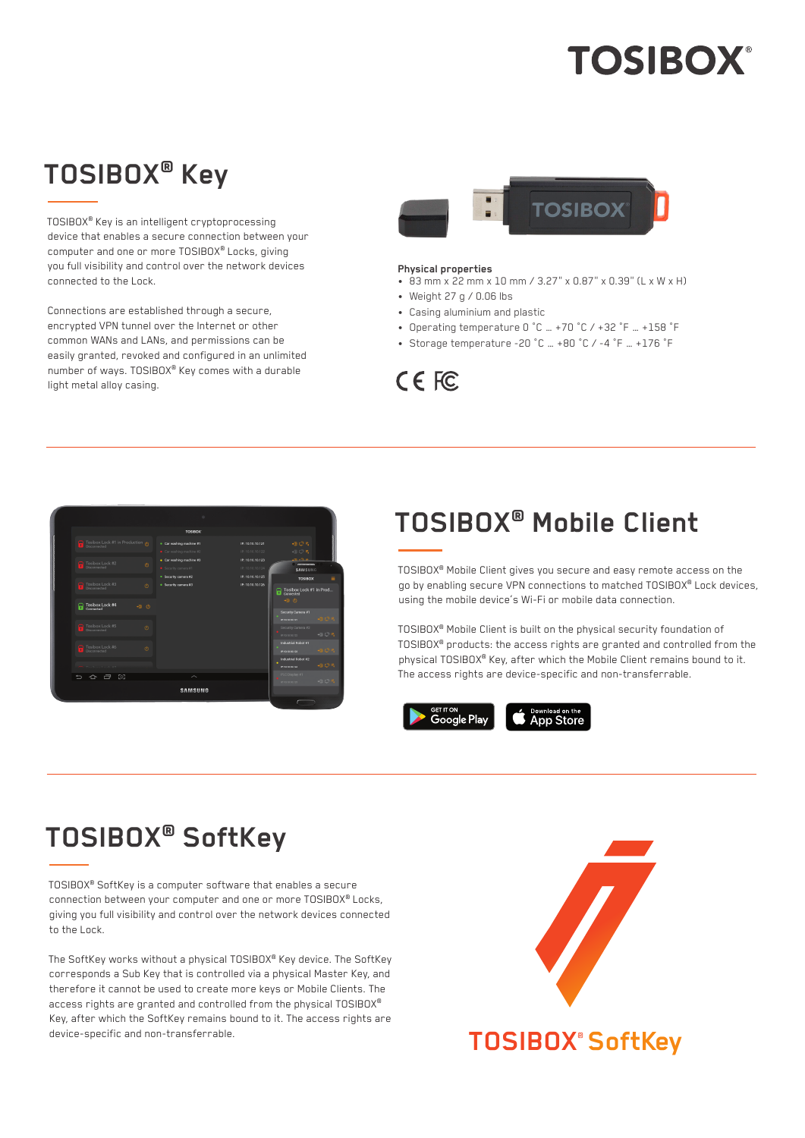# **TOSIBOX®**

## **TOSIBOX® Key**

TOSIBOX® Key is an intelligent cryptoprocessing device that enables a secure connection between your computer and one or more TOSIBOX® Locks, giving you full visibility and control over the network devices connected to the Lock.

Connections are established through a secure, encrypted VPN tunnel over the Internet or other common WANs and LANs, and permissions can be easily granted, revoked and configured in an unlimited number of ways. TOSIBOX® Key comes with a durable light metal alloy casing.



#### **Physical properties**

- 83 mm x 22 mm x 10 mm / 3.27" x 0.87" x 0.39" (L x W x H)
- Weight 27 g / 0.06 lbs
- Casing aluminium and plastic
- Operating temperature 0 °C … +70 °C / +32 °F … +158 °F
- Storage temperature -20 °C … +80 °C / -4 °F … +176 °F



|                                                                                        | $\alpha$                                           |                                      |                                                                                                  |  |  |
|----------------------------------------------------------------------------------------|----------------------------------------------------|--------------------------------------|--------------------------------------------------------------------------------------------------|--|--|
| <b>TOSIBOX</b>                                                                         |                                                    |                                      |                                                                                                  |  |  |
| Tosibox Lock #1 in Production @                                                        | · Car washing machine #1<br>Car washing machine #2 | IP: 10.10.10.121<br>IP: 10.10.10.122 | $-30R$<br>$\Rightarrow$ $\Rightarrow$ $\mathbb{F}_1$                                             |  |  |
| Tosibox Lock #2<br>$\circ$<br><b>Disconnected</b>                                      | · Car washing machine #3<br>· Security camera #1   | IP: 10.10.10.123<br>IP: 10.10.10.124 | ai ma<br><b>SAMSUNG</b>                                                                          |  |  |
|                                                                                        | · Security camera #2                               | IP: 10.10.10.125                     | Ξ<br><b>TOSIBOX</b>                                                                              |  |  |
| Tosibox Lock #3<br>$\circ$<br>$\mathbf{r}$<br>Disconnected<br>Tosibox Lock #4<br>$-30$ | · Security camera #3                               | IP: 10.10.10.126                     | Tosibox Lock #1 in Prod<br>$-30$                                                                 |  |  |
|                                                                                        |                                                    |                                      | Security Camera #1<br>40 0 円<br>IP 10 10 10 121                                                  |  |  |
| Sample of Tosibox Lock #5<br>$\phi$                                                    |                                                    |                                      | Security Camera #2<br>$+B$ $C$ <sup><math>R</math></sup><br>IR 1210-12122<br>Industrial Robot #1 |  |  |
| Tosibox Lock #6<br>$\circ$<br>Disconnected                                             |                                                    |                                      | $\bullet \mathbb{B} \subset \mathbb{R}$<br>IR 10.10.12.122<br>Industrial Robot #2                |  |  |
| <b>Contract Contract Contract</b>                                                      |                                                    |                                      | ٠<br>細口片<br>IR 10.10.12.124                                                                      |  |  |
| 38<br>Ō<br>↷                                                                           | $\widehat{\phantom{0}}$                            |                                      | PLC Display #1<br>初口片<br>IP 10.10.12.125                                                         |  |  |
|                                                                                        | <b>SAMSUNG</b>                                     |                                      |                                                                                                  |  |  |

### **TOSIBOX® Mobile Client**

TOSIBOX® Mobile Client gives you secure and easy remote access on the go by enabling secure VPN connections to matched TOSIBOX® Lock devices, using the mobile device's Wi-Fi or mobile data connection.

TOSIBOX® Mobile Client is built on the physical security foundation of TOSIBOX® products: the access rights are granted and controlled from the physical TOSIBOX® Key, after which the Mobile Client remains bound to it. The access rights are device-specific and non-transferrable.

GETITON<br>**Google Play** 

Download on the Store

# **TOSIBOX® SoftKey**

TOSIBOX® SoftKey is a computer software that enables a secure connection between your computer and one or more TOSIBOX® Locks, giving you full visibility and control over the network devices connected to the Lock.

The SoftKey works without a physical TOSIBOX® Key device. The SoftKey corresponds a Sub Key that is controlled via a physical Master Key, and therefore it cannot be used to create more keys or Mobile Clients. The access rights are granted and controlled from the physical TOSIBOX® Key, after which the SoftKey remains bound to it. The access rights are device-specific and non-transferrable.